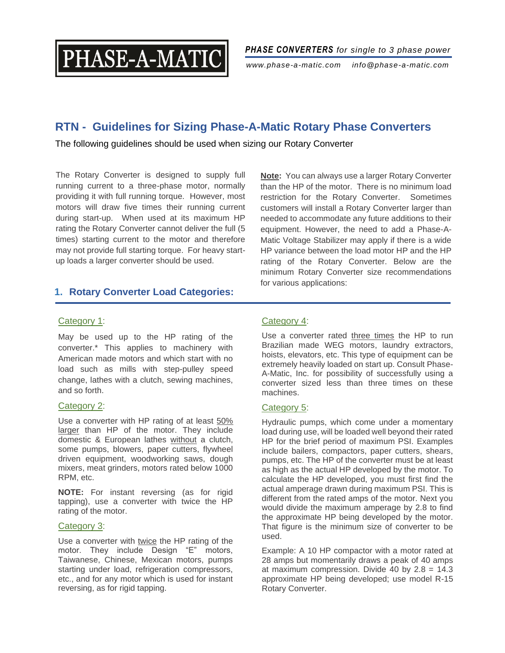

*PHASE CONVERTERS for single to 3 phase power*

*www.phase-a-matic.com info@phase-a-matic.com*

# **RTN - Guidelines for Sizing Phase-A-Matic Rotary Phase Converters**

The following guidelines should be used when sizing our Rotary Converter

The Rotary Converter is designed to supply full running current to a three-phase motor, normally providing it with full running torque. However, most motors will draw five times their running current during start-up. When used at its maximum HP rating the Rotary Converter cannot deliver the full (5 times) starting current to the motor and therefore may not provide full starting torque. For heavy startup loads a larger converter should be used.

**Note:** You can always use a larger Rotary Converter than the HP of the motor. There is no minimum load restriction for the Rotary Converter. Sometimes customers will install a Rotary Converter larger than needed to accommodate any future additions to their equipment. However, the need to add a Phase-A-Matic Voltage Stabilizer may apply if there is a wide HP variance between the load motor HP and the HP rating of the Rotary Converter. Below are the minimum Rotary Converter size recommendations for various applications:

# **1. Rotary Converter Load Categories:**

#### Category 1:

May be used up to the HP rating of the converter.\* This applies to machinery with American made motors and which start with no load such as mills with step-pulley speed change, lathes with a clutch, sewing machines, and so forth.

#### Category 2:

Use a converter with HP rating of at least 50% larger than HP of the motor. They include domestic & European lathes without a clutch, some pumps, blowers, paper cutters, flywheel driven equipment, woodworking saws, dough mixers, meat grinders, motors rated below 1000 RPM, etc.

**NOTE:** For instant reversing (as for rigid tapping), use a converter with twice the HP rating of the motor.

#### Category 3:

Use a converter with twice the HP rating of the motor. They include Design "E" motors, Taiwanese, Chinese, Mexican motors, pumps starting under load, refrigeration compressors, etc., and for any motor which is used for instant reversing, as for rigid tapping.

## Category 4:

Use a converter rated three times the HP to run Brazilian made WEG motors, laundry extractors, hoists, elevators, etc. This type of equipment can be extremely heavily loaded on start up. Consult Phase-A-Matic, Inc. for possibility of successfully using a converter sized less than three times on these machines.

#### Category 5:

Hydraulic pumps, which come under a momentary load during use, will be loaded well beyond their rated HP for the brief period of maximum PSI. Examples include bailers, compactors, paper cutters, shears, pumps, etc. The HP of the converter must be at least as high as the actual HP developed by the motor. To calculate the HP developed, you must first find the actual amperage drawn during maximum PSI. This is different from the rated amps of the motor. Next you would divide the maximum amperage by 2.8 to find the approximate HP being developed by the motor. That figure is the minimum size of converter to be used.

Example: A 10 HP compactor with a motor rated at 28 amps but momentarily draws a peak of 40 amps at maximum compression. Divide 40 by  $2.8 = 14.3$ approximate HP being developed; use model R-15 Rotary Converter.